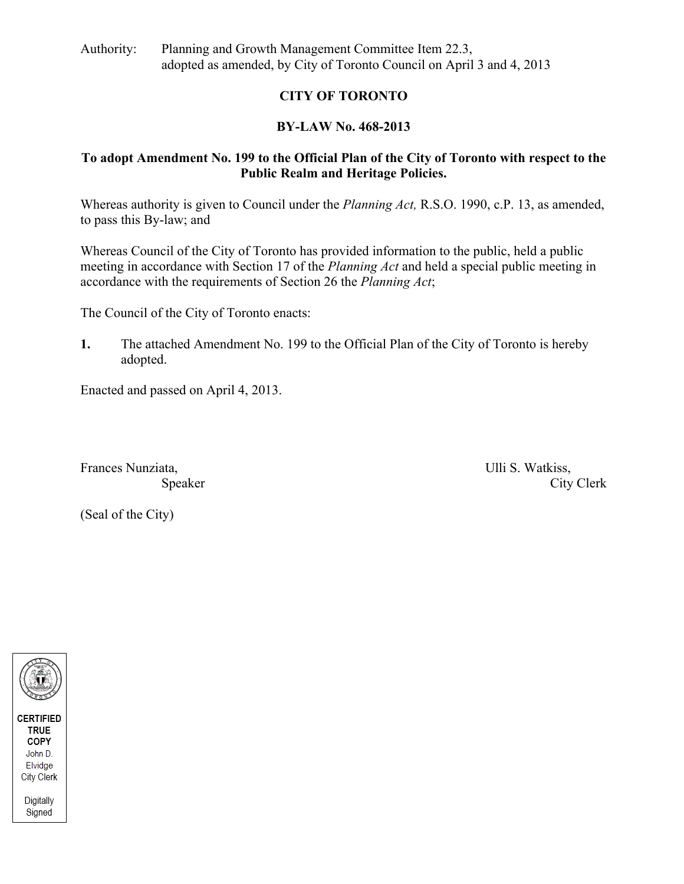Authority: Planning and Growth Management Committee Item 22.3, adopted as amended, by City of Toronto Council on April 3 and 4, 2013

### **CITY OF TORONTO**

### **BY-LAW No. 468-2013**

### **To adopt Amendment No. 199 to the Official Plan of the City of Toronto with respect to the Public Realm and Heritage Policies.**

Whereas authority is given to Council under the *Planning Act*, R.S.O. 1990, c.P. 13, as amended, to pass this By-law; and<br>Whereas Council of the City of Toronto has provided information to the public, held a public

meeting in accordance with Section 17 of the *Planning Act* and held a special public meeting in accordance with the requirements of Section 26 the *Planning Act*;

The Council of the City of Toronto enacts:

**1.** The attached Amendment No. 199 to the Official Plan of the City of Toronto is hereby adopted.<br>
Enacted and passed on April 4, 2013.<br>
Frances Nunziata, Speaker City Clerk City Clerk<br>
City Clerk (Seal of the City)

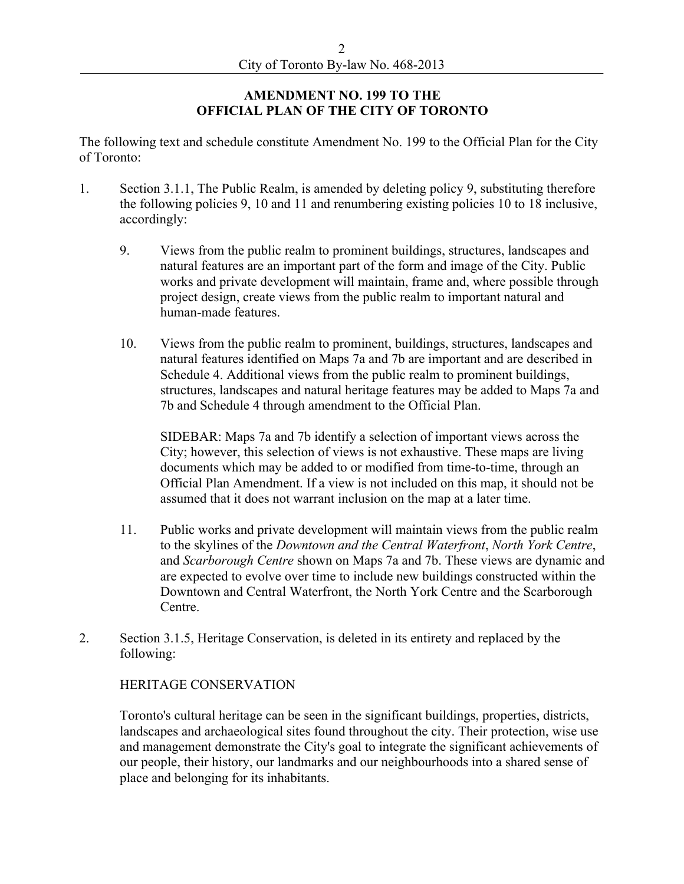### **AMENDMENT NO. 199 TO THE OFFICIAL PLAN OF THE CITY OF TORONTO**

The following text and schedule constitute Amendment No. 199 to the Official Plan for the City of Toronto:

- 1. Section 3.1.1, The Public Realm, is amended by deleting policy 9, substituting therefore the following policies 9, 10 and 11 and renumbering existing policies 10 to 18 inclusive,
	- accordingly:<br>9. Views from the public realm to prominent buildings, structures, landscapes and natural features are an important part of the form and image of the City. Public works and private development will maintain, frame and, where possible through project design, create views from the public realm to important natural and human-made features.<br>10. Views from the public realm to prominent, buildings, structures, landscapes and
	- natural features identified on Maps 7a and 7b are important and are described in Schedule 4. Additional views from the public realm to prominent buildings, structures, landscapes and natural heritage features may be added to Maps 7a and 7b and Schedule 4 through amendment to the Official Plan. SIDEBAR: Maps 7a and 7b identify a selection of important views across the

City; however, this selection of views is not exhaustive. These maps are living documents which may be added to or modified from time-to-time, through an Official Plan Amendment. If a view is not included on this map, it should not be

- 11. Public works and private development will maintain views from the public realm<br>to the skylines of the *Downtown and the Central Waterfront*, *North York Centre*, and *Scarborough Centre* shown on Maps 7a and 7b. These views are dynamic and are expected to evolve over time to include new buildings constructed within the Downtown and Central Waterfront, the North York Centre and the Scarborough
- Centre.<br>
2. Section 3.1.5, Heritage Conservation, is deleted in its entirety and replaced by the

following:<br>HERITAGE CONSERVATION<br>Toronto's cultural heritage can be seen in the significant buildings, properties, districts, landscapes and archaeological sites found throughout the city. Their protection, wise use and management demonstrate the City's goal to integrate the significant achievements of our people, their history, our landmarks and our neighbourhoods into a shared sense of place and belonging for its inhabitants.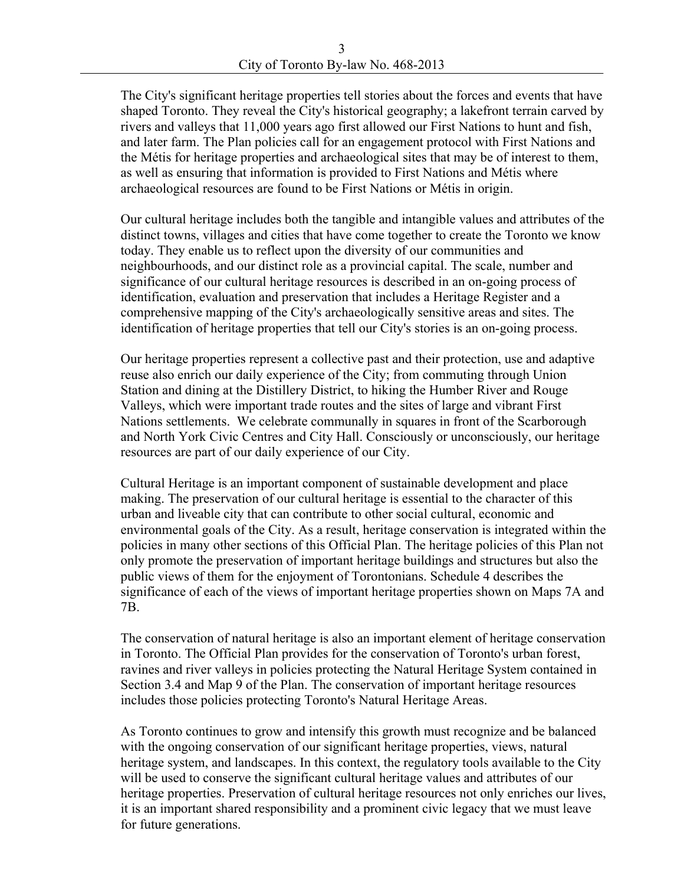The City's significant heritage properties tell stories about the forces and events that have shaped Toronto. They reveal the City's historical geography; a lakefront terrain carved by rivers and valleys that 11,000 years ago first allowed our First Nations to hunt and fish, and later farm. The Plan policies call for an engagement protocol with First Nations and the Métis for heritage properties and archaeological sites that may be of interest to them, as well as ensuring that information is provided to First Nations and Métis where archaeological resources are found to be First Nations or Métis in origin. Our cultural heritage includes both the tangible and intangible values and attributes of the

distinct towns, villages and cities that have come together to create the Toronto we know today. They enable us to reflect upon the diversity of our communities and neighbourhoods, and our distinct role as a provincial capital. The scale, number and significance of our cultural heritage resources is described in an on-going process of identification, evaluation and preservation that includes a Heritage Register and a comprehensive mapping of the City's archaeologically sensitive areas and sites. The

identification of heritage properties that tell our City's stories is an on-going process. Our heritage properties represent a collective past and their protection, use and adaptive reuse also enrich our daily experience of the City; from commuting through Union Station and dining at the Distillery District, to hiking the Humber River and Rouge Valleys, which were important trade routes and the sites of large and vibrant First Nations settlements. We celebrate communally in squares in front of the Scarborough and North York Civic Centres and City Hall. Consciously or unconsciously, our heritage resources are part of our daily experience of our City.

Cultural Heritage is an important component of sustainable development and place making. The preservation of our cultural heritage is essential to the character of this urban and liveable city that can contribute to other social cultural, economic and environmental goals of the City. As a result, heritage conservation is integrated within the policies in many other sections of this Official Plan. The heritage policies of this Plan not only promote the preservation of important heritage buildings and structures but also the public views of them for the enjoyment of Torontonians. Schedule 4 describes the significance of each of the views of important heritage properties shown on Maps 7A and 7B. The conservation of natural heritage is also an important element of heritage conservation

in Toronto. The Official Plan provides for the conservation of Toronto's urban forest, ravines and river valleys in policies protecting the Natural Heritage System contained in Section 3.4 and Map 9 of the Plan. The conservation of important heritage resources includes those policies protecting Toronto's Natural Heritage Areas. As Toronto continues to grow and intensify this growth must recognize and be balanced

with the ongoing conservation of our significant heritage properties, views, natural heritage system, and landscapes. In this context, the regulatory tools available to the City will be used to conserve the significant cultural heritage values and attributes of our heritage properties. Preservation of cultural heritage resources not only enriches our lives, it is an important shared responsibility and a prominent civic legacy that we must leave for future generations.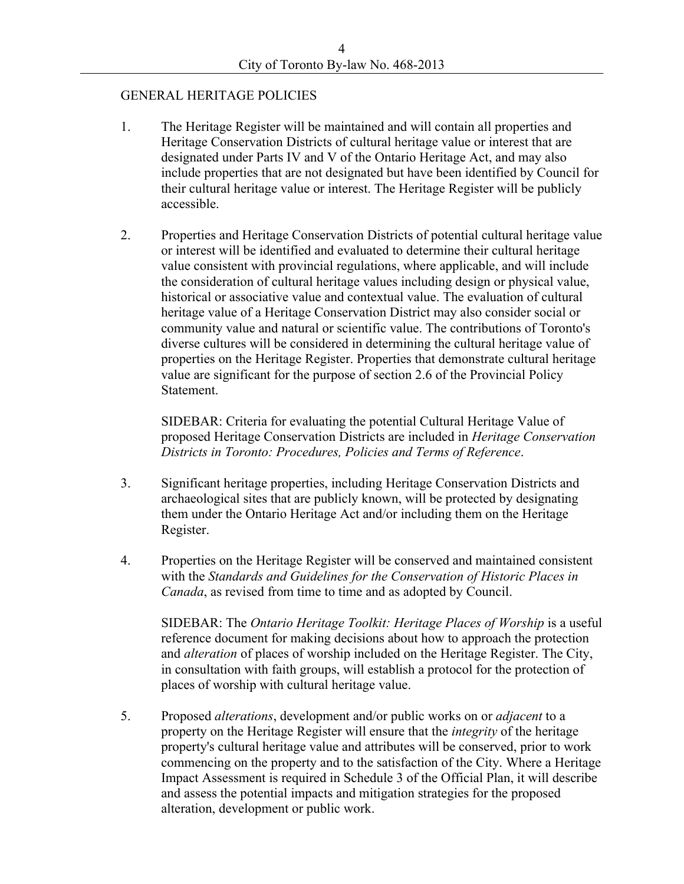- GENERAL HERITAGE POLICIES<br>1. The Heritage Register will be maintained and will contain all properties and Heritage Conservation Districts of cultural heritage value or interest that are designated under Parts IV and V of the Ontario Heritage Act, and may also include properties that are not designated but have been identified by Council for their cultural heritage value or interest. The Heritage Register will be publicly accessible.<br>2. Properties and Heritage Conservation Districts of potential cultural heritage value
- or interest will be identified and evaluated to determine their cultural heritage value consistent with provincial regulations, where applicable, and will include the consideration of cultural heritage values including design or physical value, historical or associative value and contextual value. The evaluation of cultural heritage value of a Heritage Conservation District may also consider social or community value and natural or scientific value. The contributions of Toronto's diverse cultures will be considered in determining the cultural heritage value of properties on the Heritage Register. Properties that demonstrate cultural heritage value are significant for the purpose of section 2.6 of the Provincial Policy Statement.<br>SIDEBAR: Criteria for evaluating the potential Cultural Heritage Value of

proposed Heritage Conservation Districts are included in *Heritage Conservation* 

- *Districts in Toronto: Procedures, Policies and Terms of Reference.*<br>3. Significant heritage properties, including Heritage Conservation Districts and archaeological sites that are publicly known, will be protected by designating them under the Ontario Heritage Act and/or including them on the Heritage Register.<br>4. Properties on the Heritage Register will be conserved and maintained consistent
- with the *Standards and Guidelines for the Conservation of Historic Places in*

*Canada*, as revised from time to time and as adopted by Council. SIDEBAR: The *Ontario Heritage Toolkit: Heritage Places of Worship* is a useful reference document for making decisions about how to approach the protection and *alteration* of places of worship included on the Heritage Register. The City, in consultation with faith groups, will establish a protocol for the protection of

places of worship with cultural heritage value.<br>5. Proposed *alterations*, development and/or public works on or *adjacent* to a property on the Heritage Register will ensure that the *integrity* of the heritage property's cultural heritage value and attributes will be conserved, prior to work commencing on the property and to the satisfaction of the City. Where a Heritage Impact Assessment is required in Schedule 3 of the Official Plan, it will describe and assess the potential impacts and mitigation strategies for the proposed alteration, development or public work.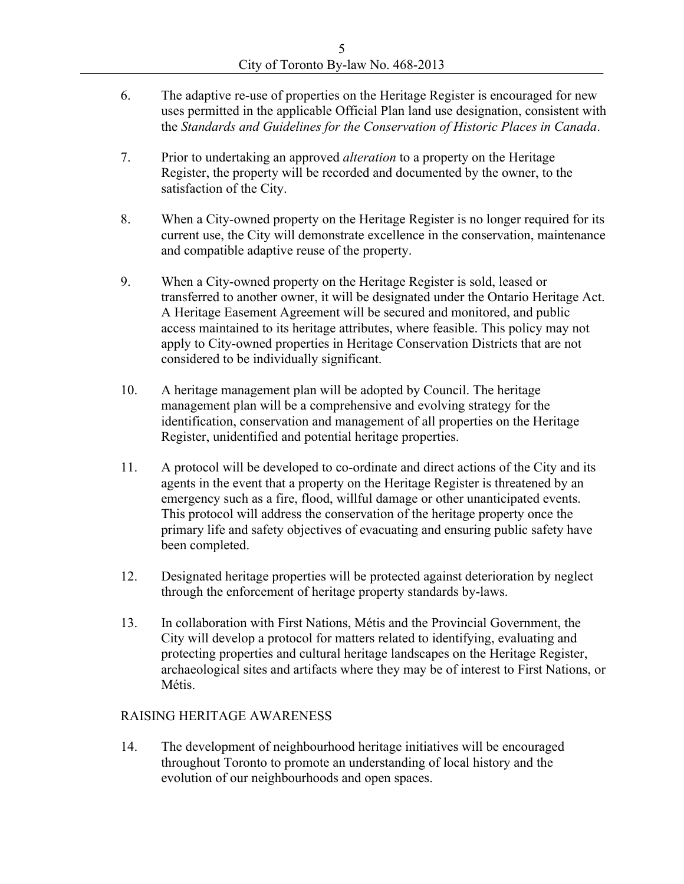- 6. The adaptive re-use of properties on the Heritage Register is encouraged for new uses permitted in the applicable Official Plan land use designation, consistent with
- the *Standards and Guidelines for the Conservation of Historic Places in Canada*. 7. Prior to undertaking an approved *alteration* to a property on the Heritage Register, the property will be recorded and documented by the owner, to the
- satisfaction of the City.<br>8. When a City-owned property on the Heritage Register is no longer required for its current use, the City will demonstrate excellence in the conservation, maintenance and compatible adaptive reuse of the property. 9. When a City-owned property on the Heritage Register is sold, leased or
- transferred to another owner, it will be designated under the Ontario Heritage Act. A Heritage Easement Agreement will be secured and monitored, and public access maintained to its heritage attributes, where feasible. This policy may not apply to City-owned properties in Heritage Conservation Districts that are not
- considered to be individually significant.<br>10. A heritage management plan will be adopted by Council. The heritage management plan will be a comprehensive and evolving strategy for the identification, conservation and management of all properties on the Heritage Register, unidentified and potential heritage properties.<br>11. A protocol will be developed to co-ordinate and direct actions of the City and its
- agents in the event that a property on the Heritage Register is threatened by an emergency such as a fire, flood, willful damage or other unanticipated events. This protocol will address the conservation of the heritage property once the primary life and safety objectives of evacuating and ensuring public safety have
- been completed.<br>12. Designated heritage properties will be protected against deterioration by neglect
- through the enforcement of heritage property standards by-laws.<br>13. In collaboration with First Nations, Métis and the Provincial Government, the City will develop a protocol for matters related to identifying, evaluating and protecting properties and cultural heritage landscapes on the Heritage Register, archaeological sites and artifacts where they may be of interest to First Nations, or Métis.<br>RAISING HERITAGE AWARENESS

14. The development of neighbourhood heritage initiatives will be encouraged throughout Toronto to promote an understanding of local history and the evolution of our neighbourhoods and open spaces.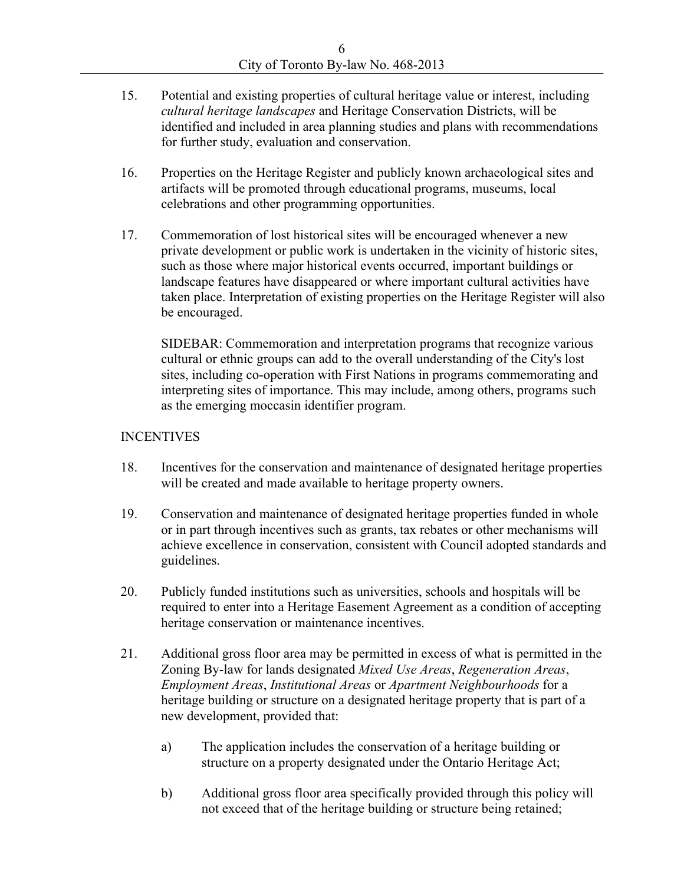- 15. Potential and existing properties of cultural heritage value or interest, including *cultural heritage landscapes* and Heritage Conservation Districts, will be identified and included in area planning studies and plans with recommendations for further study, evaluation and conservation.
- 16. Properties on the Heritage Register and publicly known archaeological sites and artifacts will be promoted through educational programs, museums, local celebrations and other programming opportunities.<br>17. Commemoration of lost historical sites will be encouraged whenever a new
- private development or public work is undertaken in the vicinity of historic sites, such as those where major historical events occurred, important buildings or landscape features have disappeared or where important cultural activities have taken place. Interpretation of existing properties on the Heritage Register will also

be encouraged.<br>SIDEBAR: Commemoration and interpretation programs that recognize various cultural or ethnic groups can add to the overall understanding of the City's lost sites, including co-operation with First Nations in programs commemorating and interpreting sites of importance. This may include, among others, programs such

- as the emerging moccasin identifier program.<br>INCENTIVES<br>18. Incentives for the conservation and maintenance of designated heritage properties will be created and made available to heritage property owners.<br>19. Conservation and maintenance of designated heritage properties funded in whole
- or in part through incentives such as grants, tax rebates or other mechanisms will achieve excellence in conservation, consistent with Council adopted standards and guidelines. 20. Publicly funded institutions such as universities, schools and hospitals will be
- required to enter into a Heritage Easement Agreement as a condition of accepting heritage conservation or maintenance incentives.<br>21. Additional gross floor area may be permitted in excess of what is permitted in the
- Zoning By-law for lands designated *Mixed Use Areas*, *Regeneration Areas*, *Employment Areas*, *Institutional Areas* or *Apartment Neighbourhoods* for a heritage building or structure on a designated heritage property that is part of a
	- a) The application includes the conservation of a heritage building or structure on a property designated under the Ontario Heritage Act;
	- b) Additional gross floor area specifically provided through this policy will not exceed that of the heritage building or structure being retained;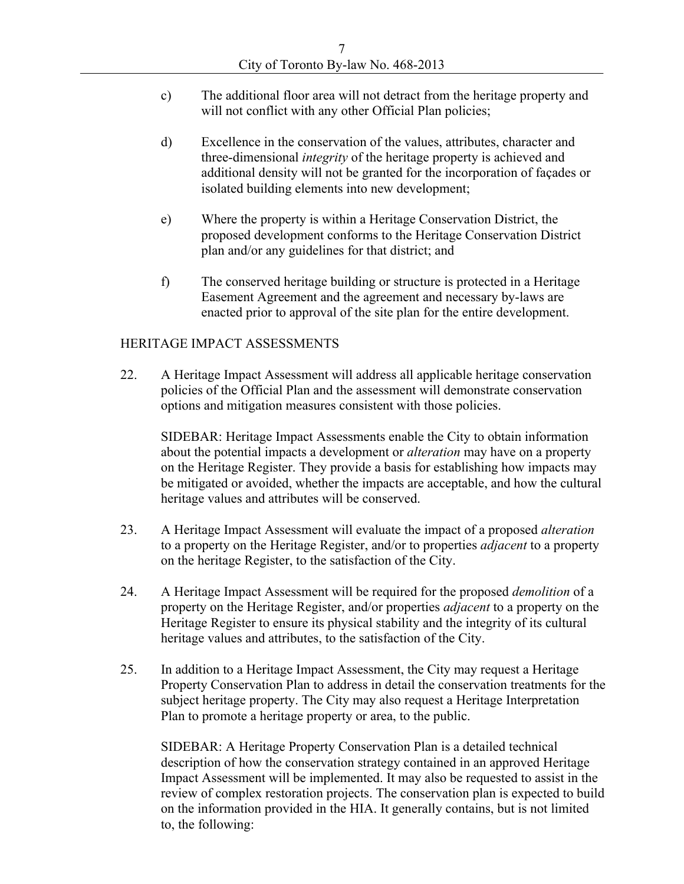- c) The additional floor area will not detract from the heritage property and will not conflict with any other Official Plan policies;
- d) Excellence in the conservation of the values, attributes, character and three-dimensional *integrity* of the heritage property is achieved and additional density will not be granted for the incorporation of façades or
- isolated building elements into new development;<br>
e) Where the property is within a Heritage Conservation District, the proposed development conforms to the Heritage Conservation District plan and/or any guidelines for that district; and<br>f) The conserved heritage building or structure is protected in a Heritage
- Easement Agreement and the agreement and necessary by-laws are

enacted prior to approval of the site plan for the entire development.<br>HERITAGE IMPACT ASSESSMENTS<br>22. A Heritage Impact Assessment will address all applicable heritage conservation policies of the Official Plan and the assessment will demonstrate conservation options and mitigation measures consistent with those policies. SIDEBAR: Heritage Impact Assessments enable the City to obtain information

about the potential impacts a development or *alteration* may have on a property on the Heritage Register. They provide a basis for establishing how impacts may be mitigated or avoided, whether the impacts are acceptable, and how the cultural

- heritage values and attributes will be conserved.<br>23. A Heritage Impact Assessment will evaluate the impact of a proposed *alteration* to a property on the Heritage Register, and/or to properties *adjacent* to a property
- on the heritage Register, to the satisfaction of the City.<br>24. A Heritage Impact Assessment will be required for the proposed *demolition* of a property on the Heritage Register, and/or properties *adjacent* to a property on the Heritage Register to ensure its physical stability and the integrity of its cultural
- heritage values and attributes, to the satisfaction of the City.<br>25. In addition to a Heritage Impact Assessment, the City may request a Heritage Property Conservation Plan to address in detail the conservation treatments for the subject heritage property. The City may also request a Heritage Interpretation

Plan to promote a heritage property or area, to the public.<br>SIDEBAR: A Heritage Property Conservation Plan is a detailed technical description of how the conservation strategy contained in an approved Heritage Impact Assessment will be implemented. It may also be requested to assist in the review of complex restoration projects. The conservation plan is expected to build on the information provided in the HIA. It generally contains, but is not limited to, the following: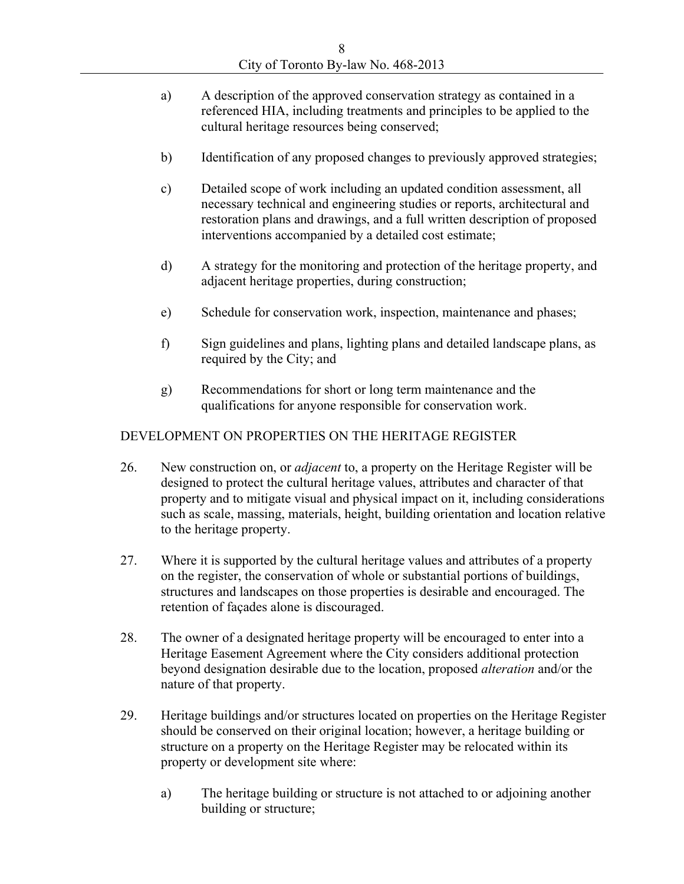- a) A description of the approved conservation strategy as contained in a referenced HIA, including treatments and principles to be applied to the
- 
- cultural heritage resources being conserved;<br>
b) Identification of any proposed changes to previously approved strategies;<br>
c) Detailed scope of work including an updated condition assessment, all necessary technical and engineering studies or reports, architectural and restoration plans and drawings, and a full written description of proposed interventions accompanied by a detailed cost estimate;<br>
d) A strategy for the monitoring and protection of the heritage property, and
- 
- 
- adjacent heritage properties, during construction;<br>
e) Schedule for conservation work, inspection, maintenance and phases;<br>
f) Sign guidelines and plans, lighting plans and detailed landscape plans, as required by the City; and<br>g) Recommendations for short or long term maintenance and the
- 

- qualifications for anyone responsible for conservation work.<br>DEVELOPMENT ON PROPERTIES ON THE HERITAGE REGISTER<br>26. New construction on, or *adjacent* to, a property on the Heritage Register will be designed to protect the cultural heritage values, attributes and character of that property and to mitigate visual and physical impact on it, including considerations such as scale, massing, materials, height, building orientation and location relative to the heritage property.<br>27. Where it is supported by the cultural heritage values and attributes of a property
- on the register, the conservation of whole or substantial portions of buildings, structures and landscapes on those properties is desirable and encouraged. The retention of façades alone is discouraged.<br>28. The owner of a designated heritage property will be encouraged to enter into a
- Heritage Easement Agreement where the City considers additional protection beyond designation desirable due to the location, proposed *alteration* and/or the
- nature of that property.<br>29. Heritage buildings and/or structures located on properties on the Heritage Register should be conserved on their original location; however, a heritage building or structure on a property on the Heritage Register may be relocated within its property or development site where:<br>
a) The heritage building or structure is not attached to or adjoining another
	- building or structure;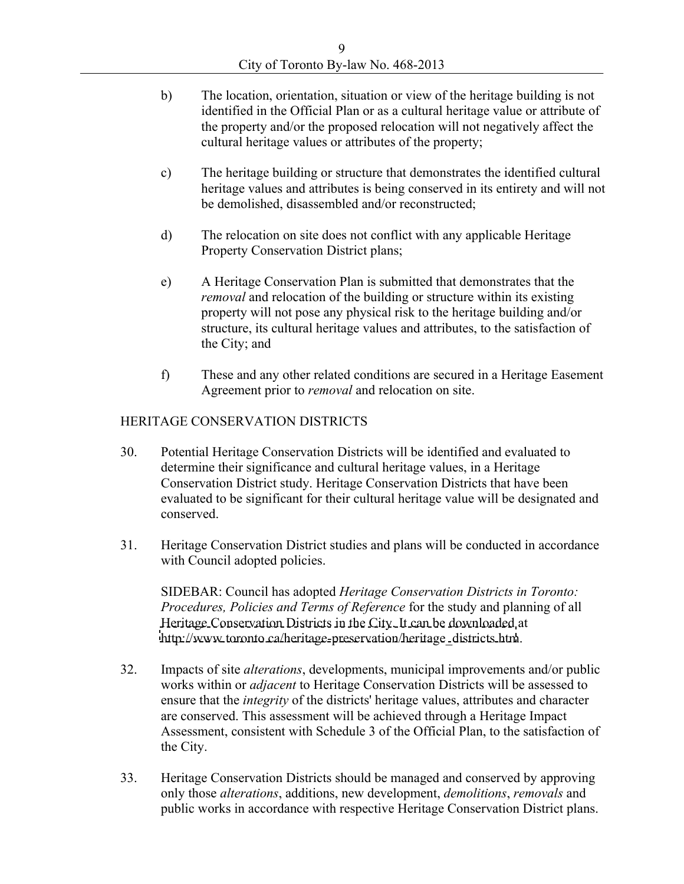- b) The location, orientation, situation or view of the heritage building is not identified in the Official Plan or as a cultural heritage value or attribute of the property and/or the proposed relocation will not negatively affect the cultural heritage values or attributes of the property;
- c) The heritage building or structure that demonstrates the identified cultural heritage values and attributes is being conserved in its entirety and will not be demolished, disassembled and/or reconstructed;
- d) The relocation on site does not conflict with any applicable Heritage Property Conservation District plans;<br>
e) A Heritage Conservation Plan is submitted that demonstrates that the
- *removal* and relocation of the building or structure within its existing property will not pose any physical risk to the heritage building and/or structure, its cultural heritage values and attributes, to the satisfaction of the City; and<br>f) These and any other related conditions are secured in a Heritage Easement
- 

- Agreement prior to *removal* and relocation on site.<br>
HERITAGE CONSERVATION DISTRICTS<br>
30. Potential Heritage Conservation Districts will be identified and evaluated to determine their significance and cultural heritage values, in a Heritage Conservation District study. Heritage Conservation Districts that have been evaluated to be significant for their cultural heritage value will be designated and conserved. 31. Heritage Conservation District studies and plans will be conducted in accordance
- 

with Council adopted policies.<br>SIDEBAR: Council has adopted *Heritage Conservation Districts in Toronto: Procedures, Policies and Terms of Reference* for the study and planning of all Heritage Conservation Districts in the City. It can be downloaded at

- [http://www.toronto.ca/heritage-preservation/heritage\\_districts.htm](http://www.toronto.ca/heritage-preservation/heritage_districts.htm). 32. Impacts of site *alterations*, developments, municipal improvements and/or public works within or *adjacent* to Heritage Conservation Districts will be assessed to ensure that the *integrity* of the districts' heritage values, attributes and character are conserved. This assessment will be achieved through a Heritage Impact Assessment, consistent with Schedule 3 of the Official Plan, to the satisfaction of the City.<br>33. Heritage Conservation Districts should be managed and conserved by approving
- only those *alterations*, additions, new development, *demolitions*, *removals* and public works in accordance with respective Heritage Conservation District plans.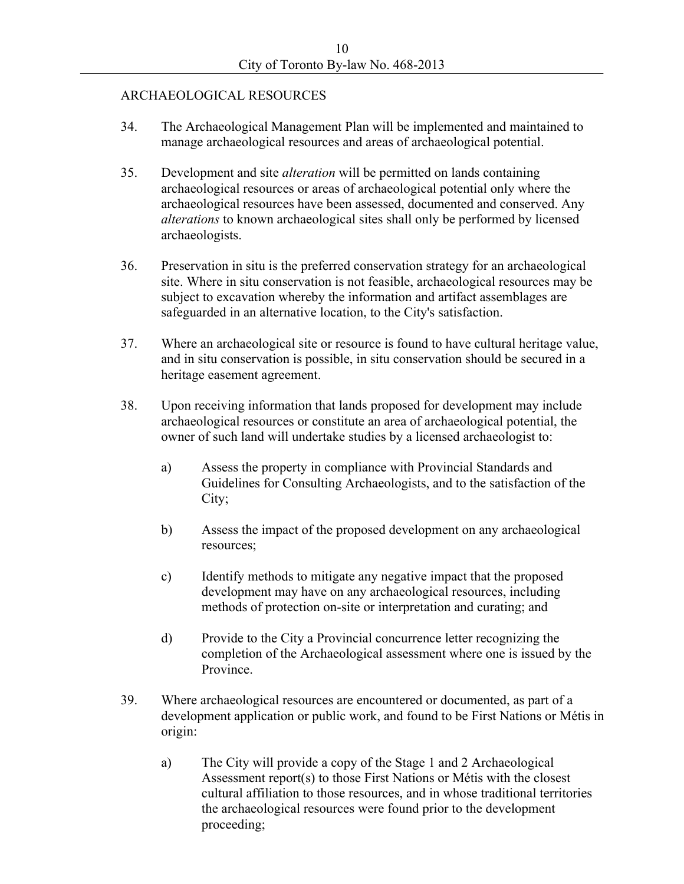### ARCHAEOLOGICAL RESOURCES

- 34. The Archaeological Management Plan will be implemented and maintained to
- manage archaeological resources and areas of archaeological potential.<br>35. Development and site *alteration* will be permitted on lands containing archaeological resources or areas of archaeological potential only where the archaeological resources have been assessed, documented and conserved. Any *alterations* to known archaeological sites shall only be performed by licensed archaeologists. 36. Preservation in situ is the preferred conservation strategy for an archaeological
- site. Where in situ conservation is not feasible, archaeological resources may be subject to excavation whereby the information and artifact assemblages are
- safeguarded in an alternative location, to the City's satisfaction. 37. Where an archaeological site or resource is found to have cultural heritage value, and in situ conservation is possible, in situ conservation should be secured in a heritage easement agreement.<br>38. Upon receiving information that lands proposed for development may include
- archaeological resources or constitute an area of archaeological potential, the owner of such land will undertake studies by a licensed archaeologist to:<br>
a) Assess the property in compliance with Provincial Standards and
	- Guidelines for Consulting Archaeologists, and to the satisfaction of the City; b) Assess the impact of the proposed development on any archaeological
	- resources;<br>
	c) Identify methods to mitigate any negative impact that the proposed
	- development may have on any archaeological resources, including methods of protection on-site or interpretation and curating; and<br>d) Provide to the City a Provincial concurrence letter recognizing the
- completion of the Archaeological assessment where one is issued by the Province.<br>39. Where archaeological resources are encountered or documented, as part of a
- development application or public work, and found to be First Nations or Métis in
	- origin:<br>a) The City will provide a copy of the Stage 1 and 2 Archaeological Assessment report(s) to those First Nations or Métis with the closest cultural affiliation to those resources, and in whose traditional territories the archaeological resources were found prior to the development proceeding;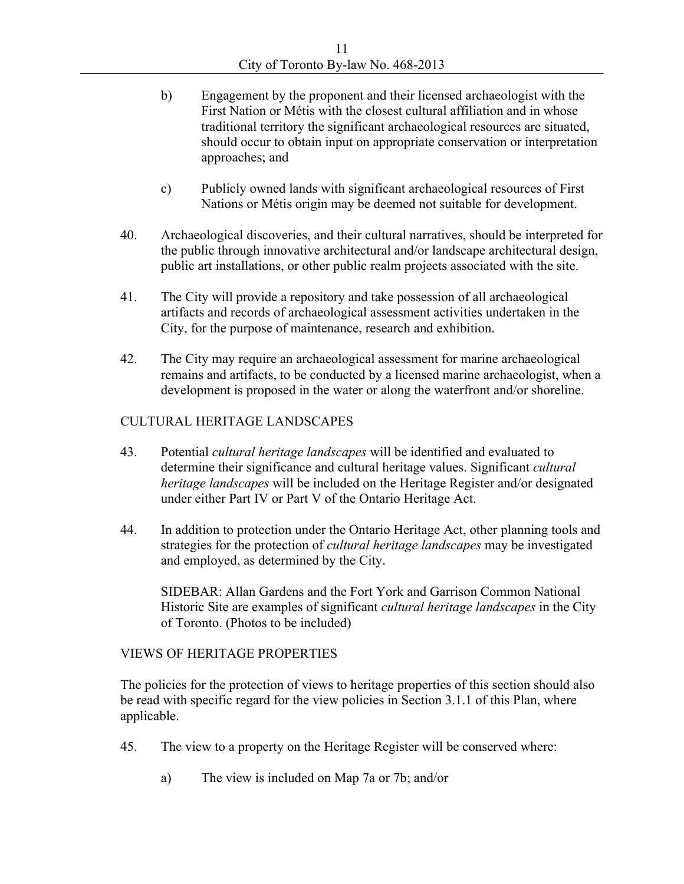- b) Engagement by the proponent and their licensed archaeologist with the First Nation or Métis with the closest cultural affiliation and in whose traditional territory the significant archaeological resources are situated, should occur to obtain input on appropriate conservation or interpretation approaches; and
- c) Publicly owned lands with significant archaeological resources of First
- Nations or Métis origin may be deemed not suitable for development.<br>40. Archaeological discoveries, and their cultural narratives, should be interpreted for the public through innovative architectural and/or landscape architectural design, public art installations, or other public realm projects associated with the site. 41. The City will provide a repository and take possession of all archaeological
- artifacts and records of archaeological assessment activities undertaken in the City, for the purpose of maintenance, research and exhibition. 42. The City may require an archaeological assessment for marine archaeological
- remains and artifacts, to be conducted by a licensed marine archaeologist, when a

- development is proposed in the water or along the waterfront and/or shoreline.<br>CULTURAL HERITAGE LANDSCAPES<br>43. Potential *cultural heritage landscapes* will be identified and evaluated to determine their significance and cultural heritage values. Significant *cultural heritage landscapes* will be included on the Heritage Register and/or designated under either Part IV or Part V of the Ontario Heritage Act.
- 44. In addition to protection under the Ontario Heritage Act, other planning tools and strategies for the protection of *cultural heritage landscapes* may be investigated and employed, as determined by the City.<br>SIDEBAR: Allan Gardens and the Fort York and Garrison Common National

Historic Site are examples of significant *cultural heritage landscapes* in the City

of Toronto. (Photos to be included)<br>VIEWS OF HERITAGE PROPERTIES<br>The policies for the protection of views to heritage properties of this section should also be read with specific regard for the view policies in Section 3.1.1 of this Plan, where Applicable.<br>45. The view to a property on the Heritage Register will be conserved where:

- - a) The view is included on Map 7a or 7b; and/or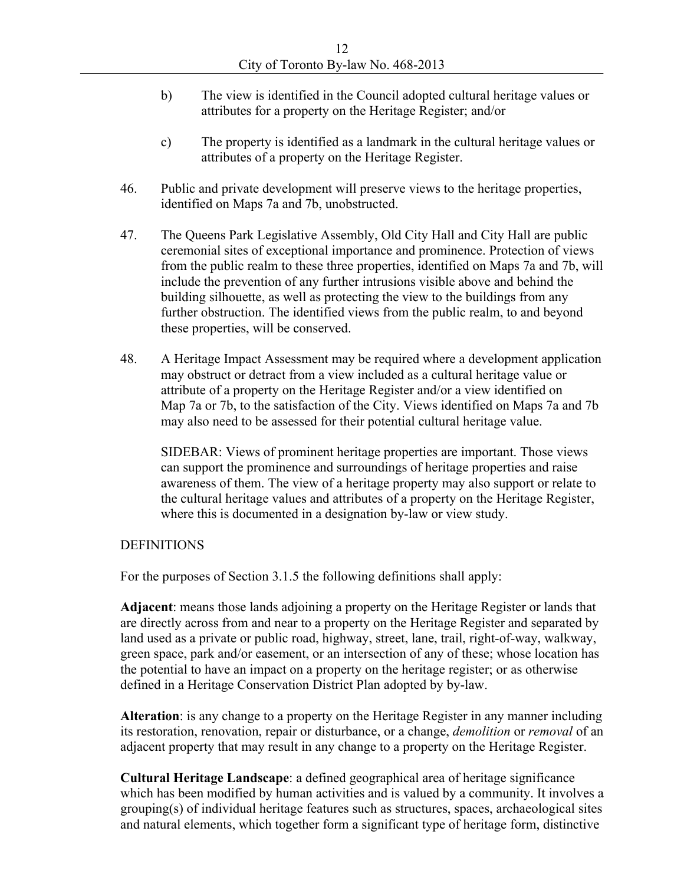- b) The view is identified in the Council adopted cultural heritage values or attributes for a property on the Heritage Register; and/or c) The property is identified as a landmark in the cultural heritage values or
- 
- attributes of a property on the Heritage Register.<br>46. Public and private development will preserve views to the heritage properties, identified on Maps 7a and 7b, unobstructed.<br>47. The Queens Park Legislative Assembly, Old City Hall and City Hall are public
- ceremonial sites of exceptional importance and prominence. Protection of views from the public realm to these three properties, identified on Maps 7a and 7b, will include the prevention of any further intrusions visible above and behind the building silhouette, as well as protecting the view to the buildings from any further obstruction. The identified views from the public realm, to and beyond these properties, will be conserved.<br>48. A Heritage Impact Assessment may be required where a development application
- may obstruct or detract from a view included as a cultural heritage value or attribute of a property on the Heritage Register and/or a view identified on Map 7a or 7b, to the satisfaction of the City. Views identified on Maps 7a and 7b may also need to be assessed for their potential cultural heritage value.

SIDEBAR: Views of prominent heritage properties are important. Those views can support the prominence and surroundings of heritage properties and raise awareness of them. The view of a heritage property may also support or relate to the cultural heritage values and attributes of a property on the Heritage Register, where this is documented in a designation by-law or view study.<br>DEFINITIONS<br>For the purposes of Section 3.1.5 the following definitions shall apply:

**Adjacent**: means those lands adjoining a property on the Heritage Register or lands that are directly across from and near to a property on the Heritage Register and separated by land used as a private or public road, highway, street, lane, trail, right-of-way, walkway, green space, park and/or easement, or an intersection of any of these; whose location has the potential to have an impact on a property on the heritage register; or as otherwise defined in a Heritage Conservation District Plan adopted by by-law.

**Alteration**: is any change to a property on the Heritage Register in any manner including its restoration, renovation, repair or disturbance, or a change, *demolition* or *removal* of an adjacent property that may result in any change to a property on the Heritage Register.

**Cultural Heritage Landscape**: a defined geographical area of heritage significance which has been modified by human activities and is valued by a community. It involves a grouping(s) of individual heritage features such as structures, spaces, archaeological sites and natural elements, which together form a significant type of heritage form, distinctive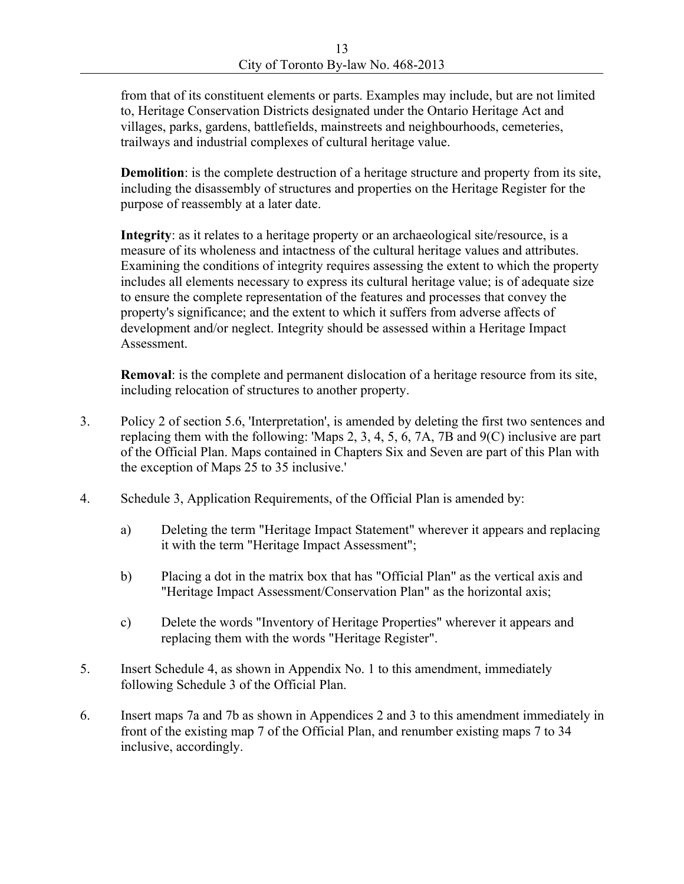from that of its constituent elements or parts. Examples may include, but are not limited to, Heritage Conservation Districts designated under the Ontario Heritage Act and villages, parks, gardens, battlefields, mainstreets and neighbourhoods, cemeteries, trailways and industrial complexes of cultural heritage value.

**Demolition**: is the complete destruction of a heritage structure and property from its site, including the disassembly of structures and properties on the Heritage Register for the purpose of reassembly at a later date.

**Integrity**: as it relates to a heritage property or an archaeological site/resource, is a measure of its wholeness and intactness of the cultural heritage values and attributes. Examining the conditions of integrity requires assessing the extent to which the property includes all elements necessary to express its cultural heritage value; is of adequate size to ensure the complete representation of the features and processes that convey the property's significance; and the extent to which it suffers from adverse affects of development and/or neglect. Integrity should be assessed within a Heritage Impact Assessment.

**Removal**: is the complete and permanent dislocation of a heritage resource from its site,

- including relocation of structures to another property.<br>3. Policy 2 of section 5.6, 'Interpretation', is amended by deleting the first two sentences and replacing them with the following: 'Maps 2, 3, 4, 5, 6, 7A, 7B and 9(C) inclusive are part of the Official Plan. Maps contained in Chapters Six and Seven are part of this Plan with the exception of Maps 25 to 35 inclusive.'
- 4. Schedule 3, Application Requirements, of the Official Plan is amended by:<br>
a) Deleting the term "Heritage Impact Statement" wherever it appears and replacing
	- it with the term "Heritage Impact Assessment";
	- b) Placing a dot in the matrix box that has "Official Plan" as the vertical axis and "Heritage Impact Assessment/Conservation Plan" as the horizontal axis;
	- c) Delete the words "Inventory of Heritage Properties" wherever it appears and replacing them with the words "Heritage Register".
- 5. Insert Schedule 4, as shown in Appendix No. 1 to this amendment, immediately
- following Schedule 3 of the Official Plan.<br>6. Insert maps 7a and 7b as shown in Appendices 2 and 3 to this amendment immediately in front of the existing map 7 of the Official Plan, and renumber existing maps 7 to 34 inclusive, accordingly.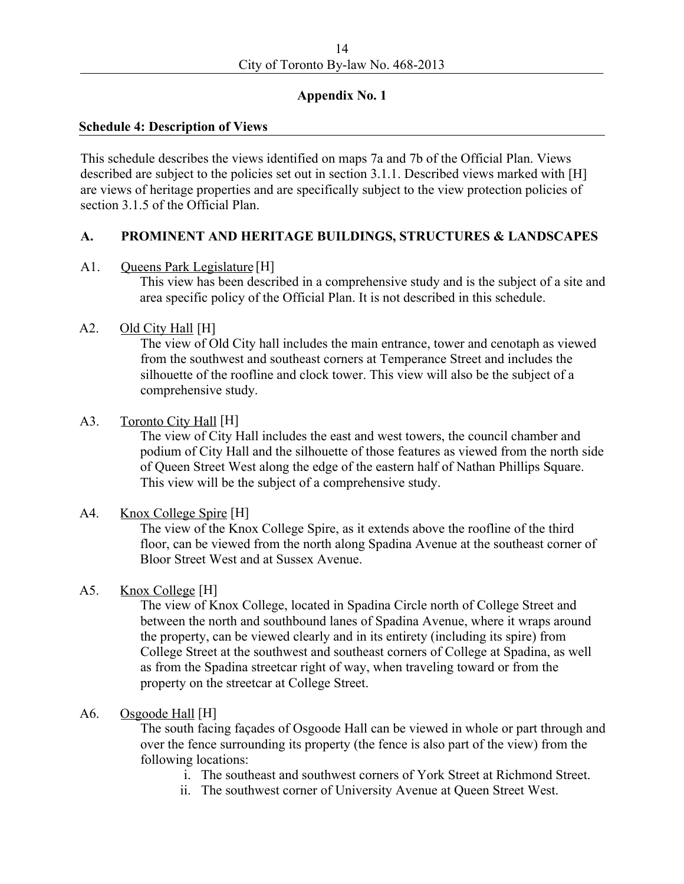# **Appendix No. 1 Schedule 4: Description of Views**

This schedule describes the views identified on maps 7a and 7b of the Official Plan. Views described are subject to the policies set out in section 3.1.1. Described views marked with [H] are views of heritage properties and are specifically subject to the view protection policies of section 3.1.5 of the Official Plan.

### **A. PROMINENT AND HERITAGE BUILDINGS, STRUCTURES & LANDSCAPES**

### A1. Oueens Park Legislature [H]

This view has been described in a comprehensive study and is the subject of a site and area specific policy of the Official Plan. It is not described in this schedule.<br>A2. Old City Hall [H]

The view of Old City hall includes the main entrance, tower and cenotaph as viewed from the southwest and southeast corners at Temperance Street and includes the silhouette of the roofline and clock tower. This view will also be the subject of a comprehensive study.<br>A3. Toronto City Hall [H]

The view of City Hall includes the east and west towers, the council chamber and podium of City Hall and the silhouette of those features as viewed from the north side of Queen Street West along the edge of the eastern half of Nathan Phillips Square. This view will be the subject of a comprehensive study.<br>A4. Knox College Spire [H]

The view of the Knox College Spire, as it extends above the roofline of the third floor, can be viewed from the north along Spadina Avenue at the southeast corner of Bloor Street West and at Sussex Avenue.<br>A5. Knox College [H]

The view of Knox College, located in Spadina Circle north of College Street and between the north and southbound lanes of Spadina Avenue, where it wraps around the property, can be viewed clearly and in its entirety (including its spire) from College Street at the southwest and southeast corners of College at Spadina, as well as from the Spadina streetcar right of way, when traveling toward or from the property on the streetcar at College Street.<br>A6. Osgoode Hall [H]

The south facing façades of Osgoode Hall can be viewed in whole or part through and over the fence surrounding its property (the fence is also part of the view) from the following locations:

- i. The southeast and southwest corners of York Street at Richmond Street.
- ii. The southwest corner of University Avenue at Queen Street West.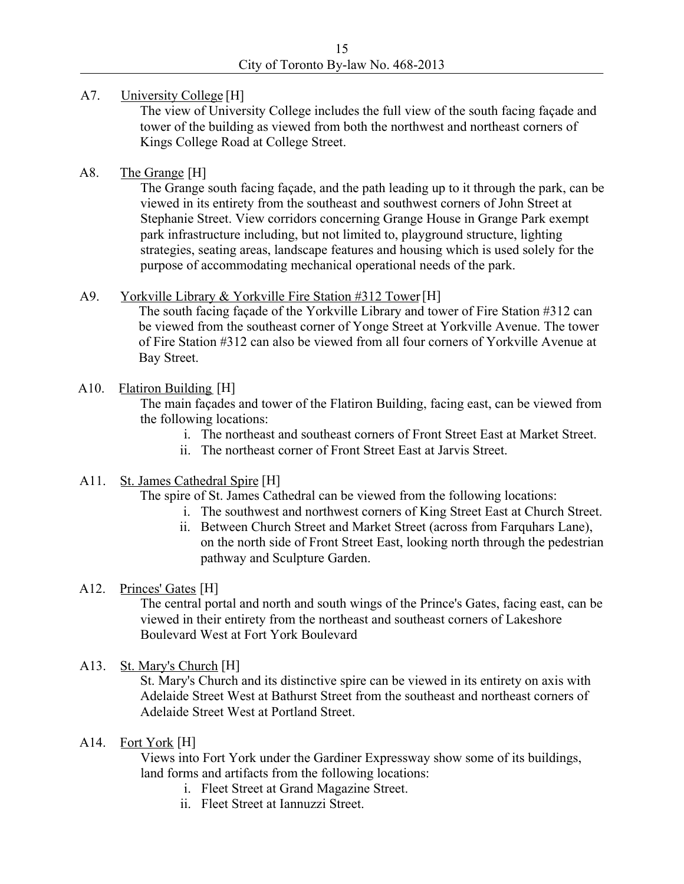### A7. University College [H]

The view of University College includes the full view of the south facing façade and tower of the building as viewed from both the northwest and northeast corners of Kings College Road at College Street.<br>A8. The Grange [H]

The Grange south facing façade, and the path leading up to it through the park, can be viewed in its entirety from the southeast and southwest corners of John Street at Stephanie Street. View corridors concerning Grange House in Grange Park exempt park infrastructure including, but not limited to, playground structure, lighting strategies, seating areas, landscape features and housing which is used solely for the purpose of accommodating mechanical operational needs of the park.<br>A9. Yorkville Library & Yorkville Fire Station #312 Tower[H]

The south facing façade of the Yorkville Library and tower of Fire Station #312 can be viewed from the southeast corner of Yonge Street at Yorkville Avenue. The tower of Fire Station #312 can also be viewed from all four corners of Yorkville Avenue at Bay Street.<br>A10. Flatiron Building [H]

The main façades and tower of the Flatiron Building, facing east, can be viewed from the following locations:

- i. The northeast and southeast corners of Front Street East at Market Street.
- ii. The northeast corner of Front Street East at Jarvis Street.<br>A11. St. James Cathedral Spire [H]

The spire of St. James Cathedral can be viewed from the following locations:

- i. The southwest and northwest corners of King Street East at Church Street. ii. Between Church Street and Market Street (across from Farquhars Lane),
- on the north side of Front Street East, looking north through the pedestrian pathway and Sculpture Garden.<br>A12. Princes' Gates [H]

The central portal and north and south wings of the Prince's Gates, facing east, can be viewed in their entirety from the northeast and southeast corners of Lakeshore Boulevard West at Fort York Boulevard<br>A13. St. Mary's Church [H]

St. Mary's Church and its distinctive spire can be viewed in its entirety on axis with Adelaide Street West at Bathurst Street from the southeast and northeast corners of Adelaide Street West at Portland Street.<br>A14. Fort York [H]

Views into Fort York under the Gardiner Expressway show some of its buildings, land forms and artifacts from the following locations:

- i. Fleet Street at Grand Magazine Street.
	- ii. Fleet Street at Iannuzzi Street.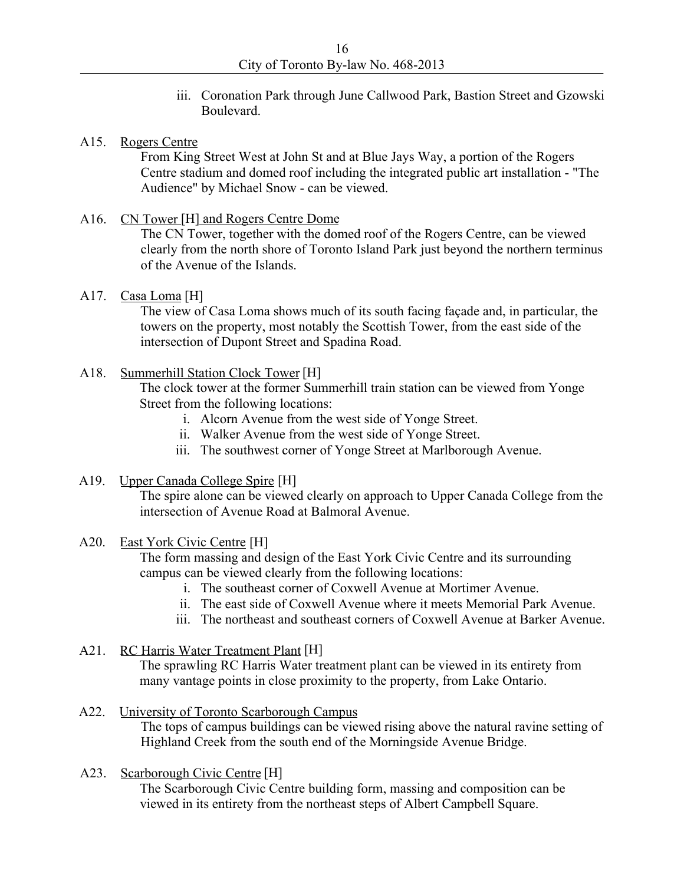iii. Coronation Park through June Callwood Park, Bastion Street and Gzowski Boulevard.<br>A15. Rogers Centre

From King Street West at John St and at Blue Jays Way, a portion of the Rogers Centre stadium and domed roof including the integrated public art installation - "The Audience" by Michael Snow - can be viewed.<br>A16. CN Tower [H] and Rogers Centre Dome

The CN Tower, together with the domed roof of the Rogers Centre, can be viewed clearly from the north shore of Toronto Island Park just beyond the northern terminus of the Avenue of the Islands.<br>A17. Casa Loma [H]

The view of Casa Loma shows much of its south facing façade and, in particular, the towers on the property, most notably the Scottish Tower, from the east side of the intersection of Dupont Street and Spadina Road.

### A18. Summerhill Station Clock Tower [H]

The clock tower at the former Summerhill train station can be viewed from Yonge Street from the following locations:

- i. Alcorn Avenue from the west side of Yonge Street.
- 
- ii. Walker Avenue from the west side of Yonge Street.<br>iii. The southwest corner of Yonge Street at Marlborough Avenue.<br>A19. Upper Canada College Spire [H]

The spire alone can be viewed clearly on approach to Upper Canada College from the intersection of Avenue Road at Balmoral Avenue. intersection of Avenue Road at Balmoral Avenue.<br>A20. East York Civic Centre [H]

The form massing and design of the East York Civic Centre and its surrounding campus can be viewed clearly from the following locations:

- i. The southeast corner of Coxwell Avenue at Mortimer Avenue.
- ii. The east side of Coxwell Avenue where it meets Memorial Park Avenue. iii. The northeast and southeast corners of Coxwell Avenue at Barker Avenue.
- 

### A21. RC Harris Water Treatment Plant [H]

The sprawling RC Harris Water treatment plant can be viewed in its entirety from many vantage points in close proximity to the property, from Lake Ontario.<br>A22. University of Toronto Scarborough Campus

The tops of campus buildings can be viewed rising above the natural ravine setting of Highland Creek from the south end of the Morningside Avenue Bridge. Highland Creek from the south end of the Morningside Avenue Bridge.<br>A23. Scarborough Civic Centre [H]

The Scarborough Civic Centre building form, massing and composition can be viewed in its entirety from the northeast steps of Albert Campbell Square.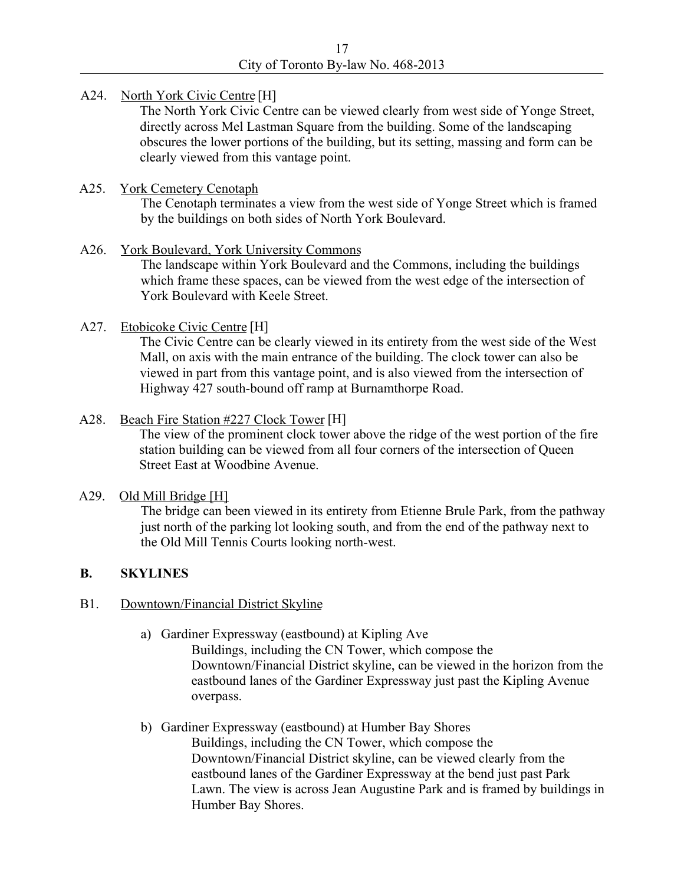### A24. North York Civic Centre [H]

The North York Civic Centre can be viewed clearly from west side of Yonge Street, directly across Mel Lastman Square from the building. Some of the landscaping obscures the lower portions of the building, but its setting, massing and form can be clearly viewed from this vantage point.<br>A25. York Cemetery Cenotaph

The Cenotaph terminates a view from the west side of Yonge Street which is framed by the buildings on both sides of North York Boulevard.<br>A26. York Boulevard, York University Commons

The landscape within York Boulevard and the Commons, including the buildings which frame these spaces, can be viewed from the west edge of the intersection of York Boulevard with Keele Street.

### A27. Etobicoke Civic Centre [H]

The Civic Centre can be clearly viewed in its entirety from the west side of the West Mall, on axis with the main entrance of the building. The clock tower can also be viewed in part from this vantage point, and is also viewed from the intersection of Highway 427 south-bound off ramp at Burnamthorpe Road.<br>A28. Beach Fire Station #227 Clock Tower [H]

The view of the prominent clock tower above the ridge of the west portion of the fire station building can be viewed from all four corners of the intersection of Queen Street East at Woodbine Avenue.<br>A29. Old Mill Bridge [H]

The bridge can been viewed in its entirety from Etienne Brule Park, from the pathway just north of the parking lot looking south, and from the end of the pathway next to the Old Mill Tennis Courts looking north-west.

### **B. SKYLINES**

### B1. Downtown/Financial District Skyline

a) Gardiner Expressway (eastbound) at Kipling Ave

Buildings, including the CN Tower, which compose the Downtown/Financial District skyline, can be viewed in the horizon from the eastbound lanes of the Gardiner Expressway just past the Kipling Avenue

## overpass. b) Gardiner Expressway (eastbound) at Humber Bay Shores Buildings, including the CN Tower, which compose the Downtown/Financial District skyline, can be viewed clearly from the eastbound lanes of the Gardiner Expressway at the bend just past Park Lawn. The view is across Jean Augustine Park and is framed by buildings in Humber Bay Shores.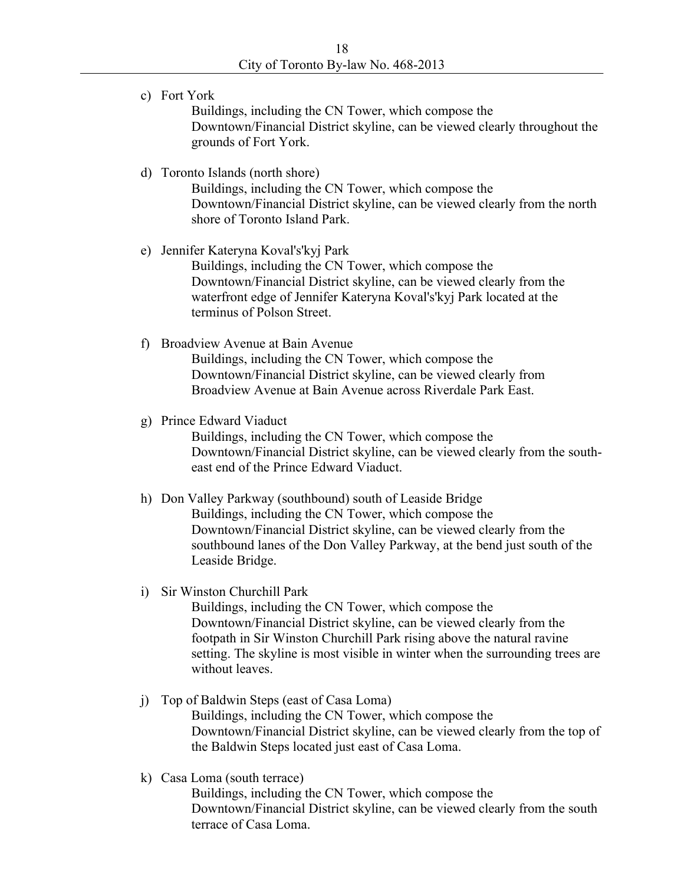c) Fort York

Buildings, including the CN Tower, which compose the Downtown/Financial District skyline, can be viewed clearly throughout the grounds of Fort York. d) Toronto Islands (north shore)

Buildings, including the CN Tower, which compose the Downtown/Financial District skyline, can be viewed clearly from the north shore of Toronto Island Park. e) Jennifer Kateryna Koval's'kyj Park

Buildings, including the CN Tower, which compose the Downtown/Financial District skyline, can be viewed clearly from the waterfront edge of Jennifer Kateryna Koval's'kyj Park located at the terminus of Polson Street.

### f) Broadview Avenue at Bain Avenue

Buildings, including the CN Tower, which compose the Downtown/Financial District skyline, can be viewed clearly from Broadview Avenue at Bain Avenue across Riverdale Park East. g) Prince Edward Viaduct

Buildings, including the CN Tower, which compose the Downtown/Financial District skyline, can be viewed clearly from the south east end of the Prince Edward Viaduct. h) Don Valley Parkway (southbound) south of Leaside Bridge

# Buildings, including the CN Tower, which compose the Downtown/Financial District skyline, can be viewed clearly from the southbound lanes of the Don Valley Parkway, at the bend just south of the Leaside Bridge.<br>i) Sir Winston Churchill Park

Buildings, including the CN Tower, which compose the Downtown/Financial District skyline, can be viewed clearly from the footpath in Sir Winston Churchill Park rising above the natural ravine setting. The skyline is most visible in winter when the surrounding trees are without leaves.

# j) Top of Baldwin Steps (east of Casa Loma) Buildings, including the CN Tower, which compose the Downtown/Financial District skyline, can be viewed clearly from the top of the Baldwin Steps located just east of Casa Loma. k) Casa Loma (south terrace)

Buildings, including the CN Tower, which compose the Downtown/Financial District skyline, can be viewed clearly from the south terrace of Casa Loma.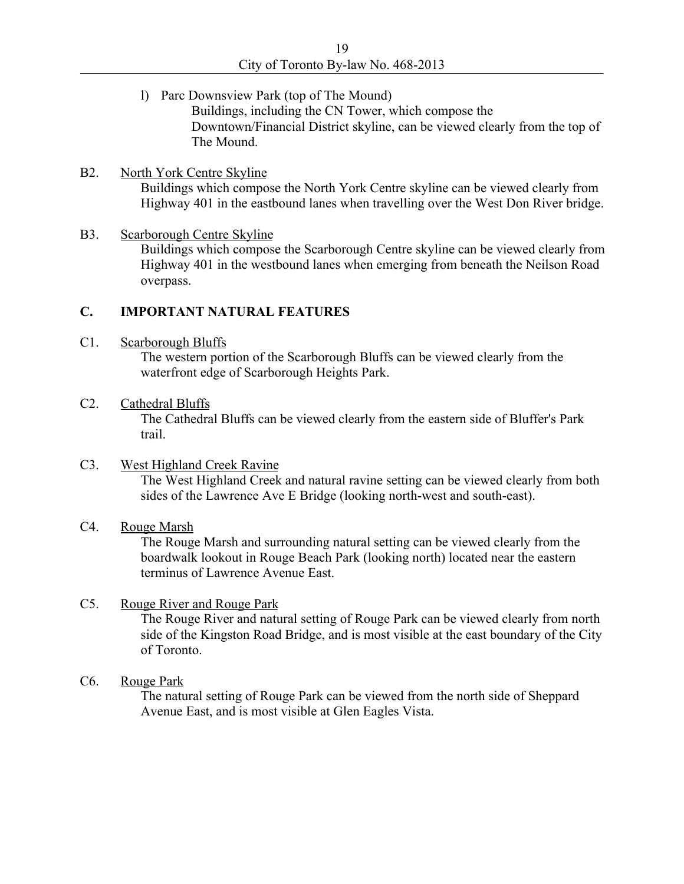l) Parc Downsview Park (top of The Mound)

Buildings, including the CN Tower, which compose the Downtown/Financial District skyline, can be viewed clearly from the top of The Mound.<br>B2. North York Centre Skyline

Buildings which compose the North York Centre skyline can be viewed clearly from<br>Highway 401 in the eastbound lanes when travelling over the West Don River bridge.

# Highway 401 in the eastbound lanes when travelling over the West Don River bridge.<br>B3. Scarborough Centre Skyline Buildings which compose the Scarborough Centre skyline can be viewed clearly from Highway 401 in the westbound lanes when emerging from beneath the Neilson Road overpass.

### **C. IMPORTANT NATURAL FEATURES**

C1. Scarborough Bluffs

The western portion of the Scarborough Bluffs can be viewed clearly from the waterfront edge of Scarborough Heights Park.<br>C2. Cathedral Bluffs

The Cathedral Bluffs can be viewed clearly from the eastern side of Bluffer's Park trail.<br>C3. West Highland Creek Ravine

The West Highland Creek and natural ravine setting can be viewed clearly from both sides of the Lawrence Ave E Bridge (looking north-west and south-east).<br>C4. Rouge Marsh

The Rouge Marsh and surrounding natural setting can be viewed clearly from the boardwalk lookout in Rouge Beach Park (looking north) located near the eastern terminus of Lawrence Avenue East.<br>C5. Rouge River and Rouge Park

The Rouge River and natural setting of Rouge Park can be viewed clearly from north side of the Kingston Road Bridge, and is most visible at the east boundary of the City of Toronto.

### C6. Rouge Park **Rouge Park**

The natural setting of Rouge Park can be viewed from the north side of Sheppard Avenue East, and is most visible at Glen Eagles Vista.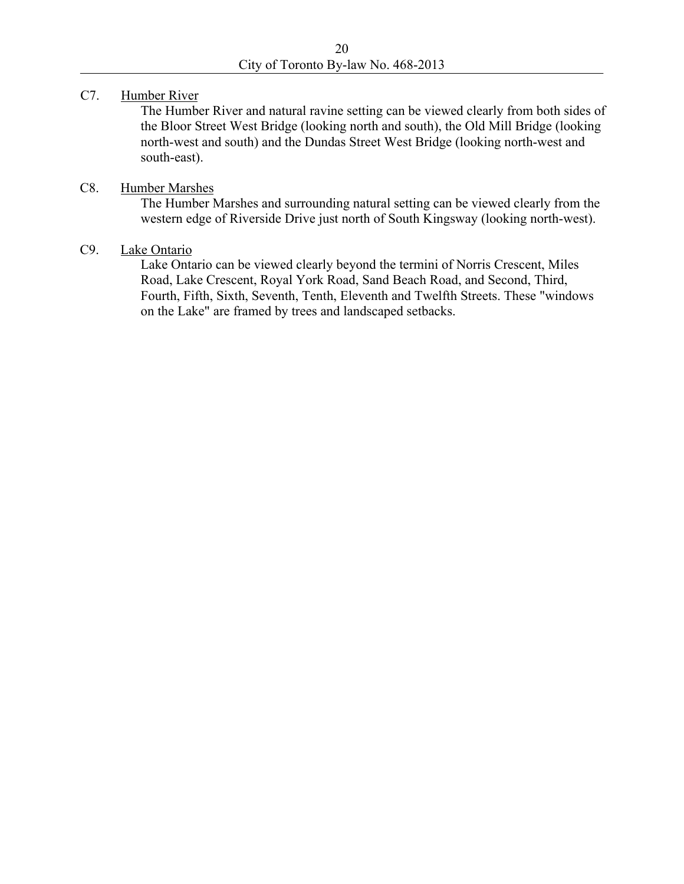### C7. Humber River

The Humber River and natural ravine setting can be viewed clearly from both sides of the Bloor Street West Bridge (looking north and south), the Old Mill Bridge (looking north-west and south) and the Dundas Street West Bridge (looking north-west and south-east).<br>C8. Humber Marshes

The Humber Marshes and surrounding natural setting can be viewed clearly from the western edge of Riverside Drive just north of South Kingsway (looking north-west).<br>C9. Lake Ontario

Lake Ontario can be viewed clearly beyond the termini of Norris Crescent, Miles Road, Lake Crescent, Royal York Road, Sand Beach Road, and Second, Third, Fourth, Fifth, Sixth, Seventh, Tenth, Eleventh and Twelfth Streets. These "windows on the Lake" are framed by trees and landscaped setbacks.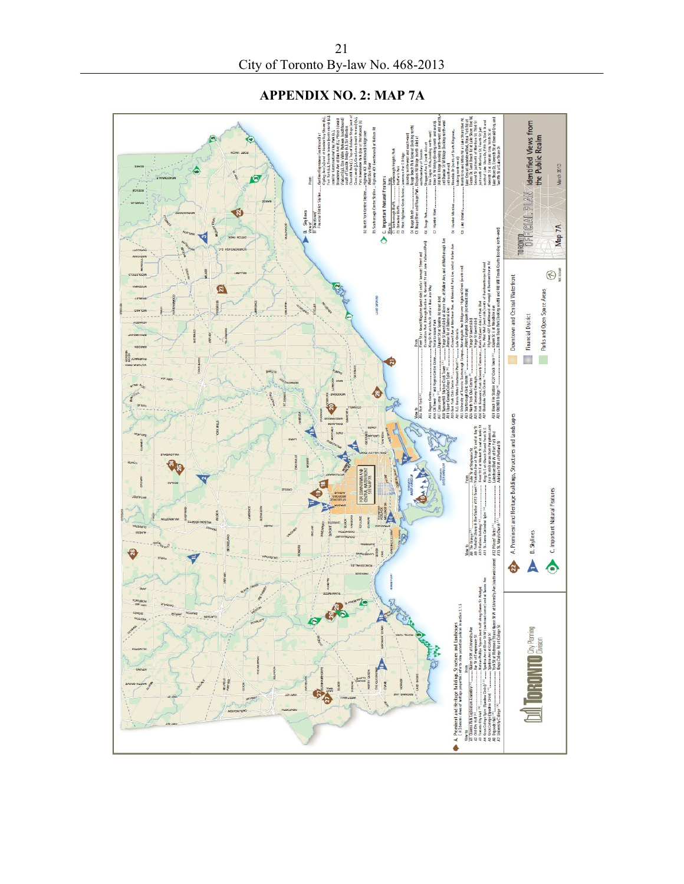**APPENDIX NO. 2: MAP 7A**